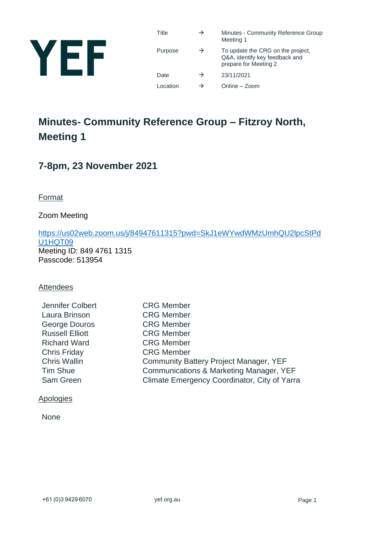

| Title    | $\rightarrow$ | Minutes - Community Reference Group<br>Meeting 1                                             |
|----------|---------------|----------------------------------------------------------------------------------------------|
| Purpose  | $\rightarrow$ | To update the CRG on the project,<br>Q&A, identify key feedback and<br>prepare for Meeting 2 |
| Date     | $\rightarrow$ | 23/11/2021                                                                                   |
| Location | →             | Online - Zoom                                                                                |

# **Minutes- Community Reference Group – Fitzroy North, Meeting 1**

# **7-8pm, 23 November 2021**

**Format** 

Zoom Meeting

[https://us02web.zoom.us/j/84947611315?pwd=SkJ1eWYwdWMzUmhQU2lpcStPd](https://us02web.zoom.us/j/84947611315?pwd=SkJ1eWYwdWMzUmhQU2lpcStPdU1HQT09) U<sub>1</sub>HQT09 Meeting ID: 849 4761 1315 Passcode: 513954

#### Attendees

| Jennifer Colbert       | <b>CRG Member</b>                                  |
|------------------------|----------------------------------------------------|
| Laura Brinson          | <b>CRG Member</b>                                  |
| <b>George Douros</b>   | <b>CRG Member</b>                                  |
| <b>Russell Elliott</b> | <b>CRG Member</b>                                  |
| <b>Richard Ward</b>    | <b>CRG Member</b>                                  |
| <b>Chris Friday</b>    | <b>CRG Member</b>                                  |
| <b>Chris Wallin</b>    | <b>Community Battery Project Manager, YEF</b>      |
| <b>Tim Shue</b>        | <b>Communications &amp; Marketing Manager, YEF</b> |
| Sam Green              | Climate Emergency Coordinator, City of Yarra       |
|                        |                                                    |

#### Apologies

None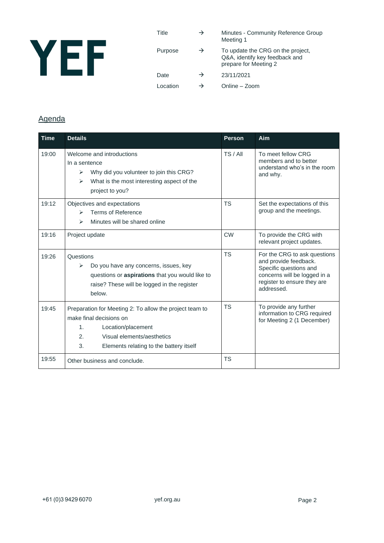

| Title    | $\rightarrow$ | Minutes - Community Reference Group<br>Meeting 1                                             |
|----------|---------------|----------------------------------------------------------------------------------------------|
| Purpose  | $\rightarrow$ | To update the CRG on the project,<br>Q&A, identify key feedback and<br>prepare for Meeting 2 |
| Date     | $\rightarrow$ | 23/11/2021                                                                                   |
| Location | →             | Online - Zoom                                                                                |

# Agenda

| <b>Time</b> | <b>Details</b>                                                                                                                                                                                                  | <b>Person</b> | Aim                                                                                                                                                          |
|-------------|-----------------------------------------------------------------------------------------------------------------------------------------------------------------------------------------------------------------|---------------|--------------------------------------------------------------------------------------------------------------------------------------------------------------|
| 19:00       | Welcome and introductions<br>In a sentence<br>Why did you volunteer to join this CRG?<br>➤<br>What is the most interesting aspect of the<br>$\blacktriangleright$<br>project to you?                            | TS / All      | To meet fellow CRG<br>members and to better<br>understand who's in the room<br>and why.                                                                      |
| 19:12       | Objectives and expectations<br>Terms of Reference<br>↘<br>Minutes will be shared online<br>$\blacktriangleright$                                                                                                | <b>TS</b>     | Set the expectations of this<br>group and the meetings.                                                                                                      |
| 19:16       | Project update                                                                                                                                                                                                  | <b>CW</b>     | To provide the CRG with<br>relevant project updates.                                                                                                         |
| 19:26       | Questions<br>Do you have any concerns, issues, key<br>⋗<br>questions or aspirations that you would like to<br>raise? These will be logged in the register<br>helow.                                             | <b>TS</b>     | For the CRG to ask questions<br>and provide feedback.<br>Specific questions and<br>concerns will be logged in a<br>register to ensure they are<br>addressed. |
| 19:45       | Preparation for Meeting 2: To allow the project team to<br>make final decisions on<br>1.<br>Location/placement<br>2 <sub>1</sub><br>Visual elements/aesthetics<br>3.<br>Elements relating to the battery itself | <b>TS</b>     | To provide any further<br>information to CRG required<br>for Meeting 2 (1 December)                                                                          |
| 19:55       | Other business and conclude.                                                                                                                                                                                    | <b>TS</b>     |                                                                                                                                                              |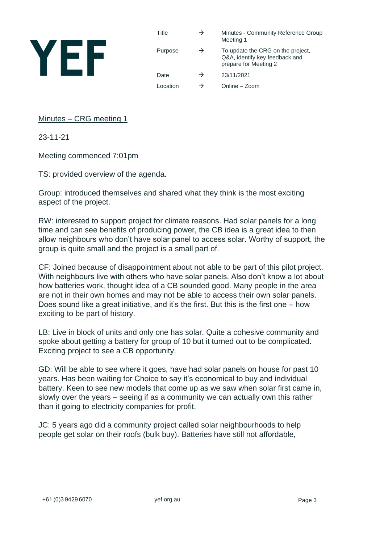

Title  $\rightarrow$  Minutes - Community Reference Group Meeting 1 Purpose  $\rightarrow$  To update the CRG on the project, Q&A, identify key feedback and prepare for Meeting 2 Date  $\rightarrow$  23/11/2021 Location  $\rightarrow$  Online – Zoom

## Minutes – CRG meeting 1

23-11-21

Meeting commenced 7:01pm

TS: provided overview of the agenda.

Group: introduced themselves and shared what they think is the most exciting aspect of the project.

RW: interested to support project for climate reasons. Had solar panels for a long time and can see benefits of producing power, the CB idea is a great idea to then allow neighbours who don't have solar panel to access solar. Worthy of support, the group is quite small and the project is a small part of.

CF: Joined because of disappointment about not able to be part of this pilot project. With neighbours live with others who have solar panels. Also don't know a lot about how batteries work, thought idea of a CB sounded good. Many people in the area are not in their own homes and may not be able to access their own solar panels. Does sound like a great initiative, and it's the first. But this is the first one – how exciting to be part of history.

LB: Live in block of units and only one has solar. Quite a cohesive community and spoke about getting a battery for group of 10 but it turned out to be complicated. Exciting project to see a CB opportunity.

GD: Will be able to see where it goes, have had solar panels on house for past 10 years. Has been waiting for Choice to say it's economical to buy and individual battery. Keen to see new models that come up as we saw when solar first came in, slowly over the years – seeing if as a community we can actually own this rather than it going to electricity companies for profit.

JC: 5 years ago did a community project called solar neighbourhoods to help people get solar on their roofs (bulk buy). Batteries have still not affordable,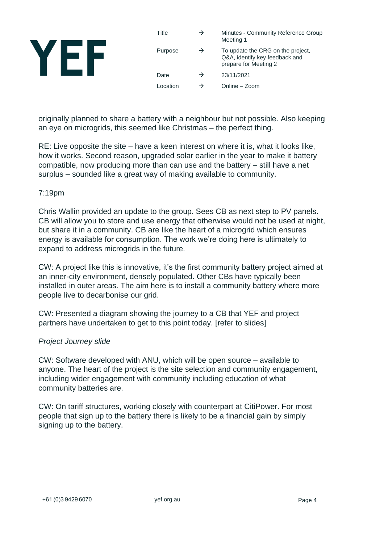| Title    | $\rightarrow$ | Minutes - Community Reference Group<br>Meeting 1                                             |
|----------|---------------|----------------------------------------------------------------------------------------------|
| Purpose  | →             | To update the CRG on the project,<br>Q&A, identify key feedback and<br>prepare for Meeting 2 |
| Date     | →             | 23/11/2021                                                                                   |
| ∟ocation |               | Online - Zoom                                                                                |

originally planned to share a battery with a neighbour but not possible. Also keeping an eye on microgrids, this seemed like Christmas – the perfect thing.

RE: Live opposite the site – have a keen interest on where it is, what it looks like, how it works. Second reason, upgraded solar earlier in the year to make it battery compatible, now producing more than can use and the battery – still have a net surplus – sounded like a great way of making available to community.

#### 7:19pm

Chris Wallin provided an update to the group. Sees CB as next step to PV panels. CB will allow you to store and use energy that otherwise would not be used at night, but share it in a community. CB are like the heart of a microgrid which ensures energy is available for consumption. The work we're doing here is ultimately to expand to address microgrids in the future.

CW: A project like this is innovative, it's the first community battery project aimed at an inner-city environment, densely populated. Other CBs have typically been installed in outer areas. The aim here is to install a community battery where more people live to decarbonise our grid.

CW: Presented a diagram showing the journey to a CB that YEF and project partners have undertaken to get to this point today. [refer to slides]

#### *Project Journey slide*

CW: Software developed with ANU, which will be open source – available to anyone. The heart of the project is the site selection and community engagement, including wider engagement with community including education of what community batteries are.

CW: On tariff structures, working closely with counterpart at CitiPower. For most people that sign up to the battery there is likely to be a financial gain by simply signing up to the battery.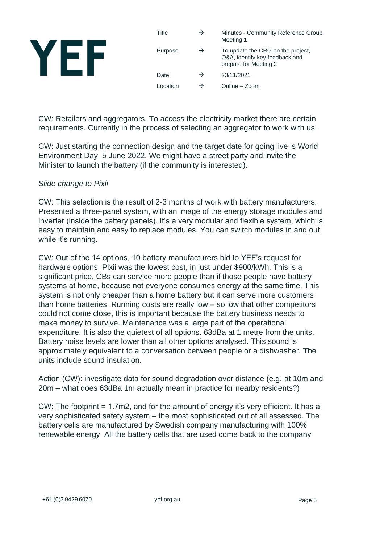| Title    | → | Minutes - Community Reference Group<br>Meeting 1                                             |
|----------|---|----------------------------------------------------------------------------------------------|
| Purpose  | → | To update the CRG on the project,<br>Q&A, identify key feedback and<br>prepare for Meeting 2 |
| Date     | → | 23/11/2021                                                                                   |
| Location |   | Online – Zoom                                                                                |

CW: Retailers and aggregators. To access the electricity market there are certain requirements. Currently in the process of selecting an aggregator to work with us.

CW: Just starting the connection design and the target date for going live is World Environment Day, 5 June 2022. We might have a street party and invite the Minister to launch the battery (if the community is interested).

#### *Slide change to Pixii*

CW: This selection is the result of 2-3 months of work with battery manufacturers. Presented a three-panel system, with an image of the energy storage modules and inverter (inside the battery panels). It's a very modular and flexible system, which is easy to maintain and easy to replace modules. You can switch modules in and out while it's running.

CW: Out of the 14 options, 10 battery manufacturers bid to YEF's request for hardware options. Pixii was the lowest cost, in just under \$900/kWh. This is a significant price, CBs can service more people than if those people have battery systems at home, because not everyone consumes energy at the same time. This system is not only cheaper than a home battery but it can serve more customers than home batteries. Running costs are really low – so low that other competitors could not come close, this is important because the battery business needs to make money to survive. Maintenance was a large part of the operational expenditure. It is also the quietest of all options. 63dBa at 1 metre from the units. Battery noise levels are lower than all other options analysed. This sound is approximately equivalent to a conversation between people or a dishwasher. The units include sound insulation.

Action (CW): investigate data for sound degradation over distance (e.g. at 10m and 20m – what does 63dBa 1m actually mean in practice for nearby residents?)

CW: The footprint = 1.7m2, and for the amount of energy it's very efficient. It has a very sophisticated safety system – the most sophisticated out of all assessed. The battery cells are manufactured by Swedish company manufacturing with 100% renewable energy. All the battery cells that are used come back to the company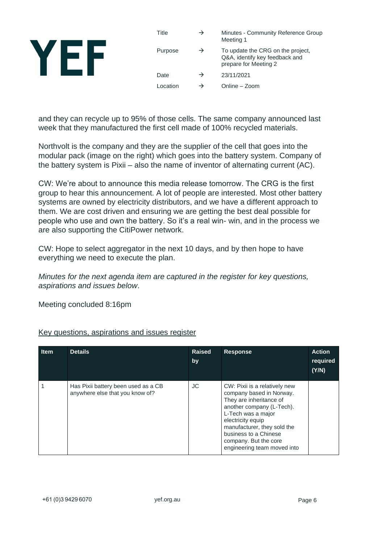| Title    | → | Minutes - Community Reference Group<br>Meeting 1                                             |
|----------|---|----------------------------------------------------------------------------------------------|
| Purpose  | → | To update the CRG on the project,<br>Q&A, identify key feedback and<br>prepare for Meeting 2 |
| Date     | → | 23/11/2021                                                                                   |
| Location |   | Online – Zoom                                                                                |

and they can recycle up to 95% of those cells. The same company announced last week that they manufactured the first cell made of 100% recycled materials.

Northvolt is the company and they are the supplier of the cell that goes into the modular pack (image on the right) which goes into the battery system. Company of the battery system is Pixii – also the name of inventor of alternating current (AC).

CW: We're about to announce this media release tomorrow. The CRG is the first group to hear this announcement. A lot of people are interested. Most other battery systems are owned by electricity distributors, and we have a different approach to them. We are cost driven and ensuring we are getting the best deal possible for people who use and own the battery. So it's a real win- win, and in the process we are also supporting the CitiPower network.

CW: Hope to select aggregator in the next 10 days, and by then hope to have everything we need to execute the plan.

*Minutes for the next agenda item are captured in the register for key questions, aspirations and issues below*.

Meeting concluded 8:16pm

| <b>Item</b> | <b>Details</b>                                                         | <b>Raised</b><br>by | <b>Response</b>                                                                                                                                                                                                                                                              | <b>Action</b><br>required<br>(Y/N) |
|-------------|------------------------------------------------------------------------|---------------------|------------------------------------------------------------------------------------------------------------------------------------------------------------------------------------------------------------------------------------------------------------------------------|------------------------------------|
|             | Has Pixii battery been used as a CB<br>anywhere else that you know of? | JC.                 | CW: Pixii is a relatively new<br>company based in Norway.<br>They are inheritance of<br>another company (L-Tech).<br>L-Tech was a major<br>electricity equip<br>manufacturer, they sold the<br>business to a Chinese<br>company. But the core<br>engineering team moved into |                                    |

# Key questions, aspirations and issues register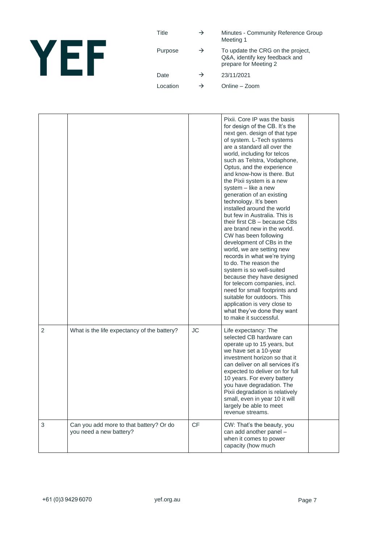

| Title    | $\rightarrow$ | Minutes - Community Reference Group<br>Meeting 1                                             |
|----------|---------------|----------------------------------------------------------------------------------------------|
| Purpose  | $\rightarrow$ | To update the CRG on the project,<br>Q&A, identify key feedback and<br>prepare for Meeting 2 |
| Date     | $\rightarrow$ | 23/11/2021                                                                                   |
| Location | →             | Online – Zoom                                                                                |

|                |                                                                    |           | Pixii. Core IP was the basis<br>for design of the CB. It's the<br>next gen. design of that type<br>of system. L-Tech systems<br>are a standard all over the<br>world, including for telcos<br>such as Telstra, Vodaphone,<br>Optus, and the experience<br>and know-how is there. But<br>the Pixii system is a new<br>system - like a new<br>generation of an existing<br>technology. It's been<br>installed around the world<br>but few in Australia. This is<br>their first CB - because CBs<br>are brand new in the world.<br>CW has been following<br>development of CBs in the<br>world, we are setting new<br>records in what we're trying<br>to do. The reason the<br>system is so well-suited<br>because they have designed<br>for telecom companies, incl.<br>need for small footprints and<br>suitable for outdoors. This<br>application is very close to<br>what they've done they want<br>to make it successful. |  |
|----------------|--------------------------------------------------------------------|-----------|-----------------------------------------------------------------------------------------------------------------------------------------------------------------------------------------------------------------------------------------------------------------------------------------------------------------------------------------------------------------------------------------------------------------------------------------------------------------------------------------------------------------------------------------------------------------------------------------------------------------------------------------------------------------------------------------------------------------------------------------------------------------------------------------------------------------------------------------------------------------------------------------------------------------------------|--|
| $\overline{2}$ | What is the life expectancy of the battery?                        | <b>JC</b> | Life expectancy: The<br>selected CB hardware can<br>operate up to 15 years, but<br>we have set a 10-year<br>investment horizon so that it<br>can deliver on all services it's<br>expected to deliver on for full<br>10 years. For every battery<br>you have degradation. The<br>Pixii degradation is relatively<br>small, even in year 10 it will<br>largely be able to meet<br>revenue streams.                                                                                                                                                                                                                                                                                                                                                                                                                                                                                                                            |  |
| $\mathfrak{B}$ | Can you add more to that battery? Or do<br>you need a new battery? | <b>CF</b> | CW: That's the beauty, you<br>can add another panel -<br>when it comes to power<br>capacity (how much                                                                                                                                                                                                                                                                                                                                                                                                                                                                                                                                                                                                                                                                                                                                                                                                                       |  |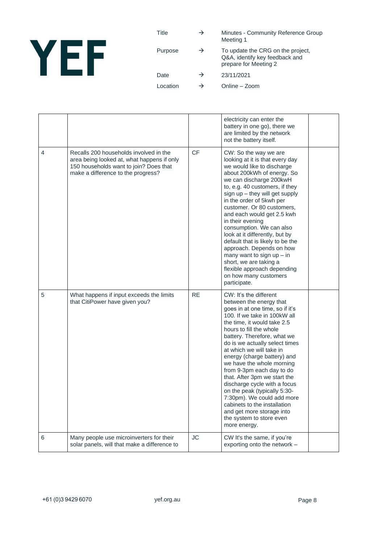

| Title    | $\rightarrow$ | Minutes - Community Reference Group<br>Meeting 1                                             |
|----------|---------------|----------------------------------------------------------------------------------------------|
| Purpose  | $\rightarrow$ | To update the CRG on the project,<br>Q&A, identify key feedback and<br>prepare for Meeting 2 |
| Date     | $\rightarrow$ | 23/11/2021                                                                                   |
| Location | →             | Online – Zoom                                                                                |

|                |                                                                                                                                                                      |           | electricity can enter the<br>battery in one go), there we<br>are limited by the network<br>not the battery itself.                                                                                                                                                                                                                                                                                                                                                                                                                                                                                          |  |
|----------------|----------------------------------------------------------------------------------------------------------------------------------------------------------------------|-----------|-------------------------------------------------------------------------------------------------------------------------------------------------------------------------------------------------------------------------------------------------------------------------------------------------------------------------------------------------------------------------------------------------------------------------------------------------------------------------------------------------------------------------------------------------------------------------------------------------------------|--|
| $\overline{4}$ | Recalls 200 households involved in the<br>area being looked at, what happens if only<br>150 households want to join? Does that<br>make a difference to the progress? | <b>CF</b> | CW: So the way we are<br>looking at it is that every day<br>we would like to discharge<br>about 200kWh of energy. So<br>we can discharge 200kwH<br>to, e.g. 40 customers, if they<br>sign up - they will get supply<br>in the order of 5kwh per<br>customer. Or 80 customers,<br>and each would get 2.5 kwh<br>in their evening<br>consumption. We can also<br>look at it differently, but by<br>default that is likely to be the<br>approach. Depends on how<br>many want to sign $up - in$<br>short, we are taking a<br>flexible approach depending<br>on how many customers<br>participate.              |  |
| 5              | What happens if input exceeds the limits<br>that CitiPower have given you?                                                                                           | <b>RE</b> | CW: It's the different<br>between the energy that<br>goes in at one time, so if it's<br>100. If we take in 100kW all<br>the time, it would take 2.5<br>hours to fill the whole<br>battery. Therefore, what we<br>do is we actually select times<br>at which we will take in<br>energy (charge battery) and<br>we have the whole morning<br>from 9-3pm each day to do<br>that. After 3pm we start the<br>discharge cycle with a focus<br>on the peak (typically 5:30-<br>7:30pm). We could add more<br>cabinets to the installation<br>and get more storage into<br>the system to store even<br>more energy. |  |
| 6              | Many people use microinverters for their<br>solar panels, will that make a difference to                                                                             | <b>JC</b> | CW It's the same, if you're<br>exporting onto the network -                                                                                                                                                                                                                                                                                                                                                                                                                                                                                                                                                 |  |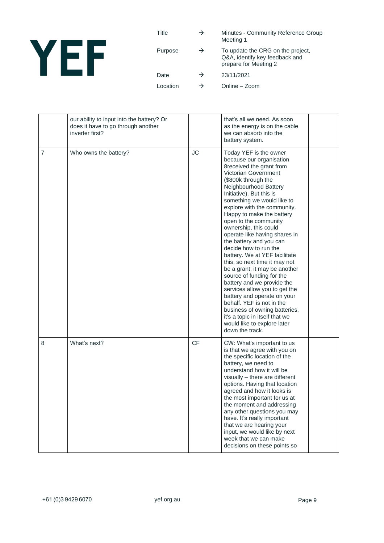

| Title    | $\rightarrow$ | Minutes - Community Reference Group<br>Meeting 1                                             |
|----------|---------------|----------------------------------------------------------------------------------------------|
| Purpose  | $\rightarrow$ | To update the CRG on the project,<br>Q&A, identify key feedback and<br>prepare for Meeting 2 |
| Date     | $\rightarrow$ | 23/11/2021                                                                                   |
| Location | →             | Online - Zoom                                                                                |

|                | our ability to input into the battery? Or<br>does it have to go through another<br>inverter first? |           | that's all we need. As soon<br>as the energy is on the cable<br>we can absorb into the<br>battery system.                                                                                                                                                                                                                                                                                                                                                                                                                                                                                                                                                                                                                                                                                            |  |
|----------------|----------------------------------------------------------------------------------------------------|-----------|------------------------------------------------------------------------------------------------------------------------------------------------------------------------------------------------------------------------------------------------------------------------------------------------------------------------------------------------------------------------------------------------------------------------------------------------------------------------------------------------------------------------------------------------------------------------------------------------------------------------------------------------------------------------------------------------------------------------------------------------------------------------------------------------------|--|
| $\overline{7}$ | Who owns the battery?                                                                              | <b>JC</b> | Today YEF is the owner<br>because our organisation<br>8 received the grant from<br>Victorian Government<br>(\$800k through the<br>Neighbourhood Battery<br>Initiative). But this is<br>something we would like to<br>explore with the community.<br>Happy to make the battery<br>open to the community<br>ownership, this could<br>operate like having shares in<br>the battery and you can<br>decide how to run the<br>battery. We at YEF facilitate<br>this, so next time it may not<br>be a grant, it may be another<br>source of funding for the<br>battery and we provide the<br>services allow you to get the<br>battery and operate on your<br>behalf. YEF is not in the<br>business of owning batteries,<br>it's a topic in itself that we<br>would like to explore later<br>down the track. |  |
| 8              | What's next?                                                                                       | <b>CF</b> | CW: What's important to us<br>is that we agree with you on<br>the specific location of the<br>battery, we need to<br>understand how it will be<br>visually - there are different<br>options. Having that location<br>agreed and how it looks is<br>the most important for us at<br>the moment and addressing<br>any other questions you may<br>have. It's really important<br>that we are hearing your<br>input, we would like by next<br>week that we can make<br>decisions on these points so                                                                                                                                                                                                                                                                                                      |  |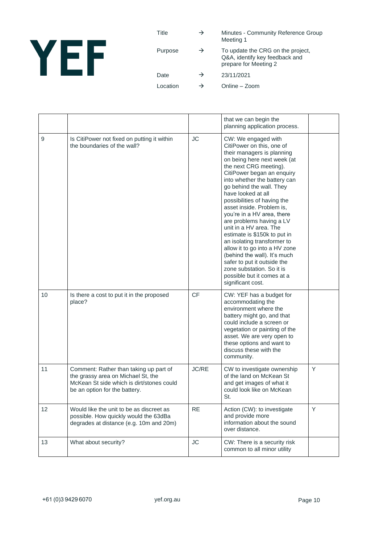

| Title    | $\rightarrow$ | Minutes - Community Reference Group<br>Meeting 1                                             |
|----------|---------------|----------------------------------------------------------------------------------------------|
| Purpose  | $\rightarrow$ | To update the CRG on the project,<br>Q&A, identify key feedback and<br>prepare for Meeting 2 |
| Date     | $\rightarrow$ | 23/11/2021                                                                                   |
| Location | →             | Online – Zoom                                                                                |

|    |                                                                                                                                                            |           | that we can begin the<br>planning application process.                                                                                                                                                                                                                                                                                                                                                                                                                                                                                                                                                                                                 |   |
|----|------------------------------------------------------------------------------------------------------------------------------------------------------------|-----------|--------------------------------------------------------------------------------------------------------------------------------------------------------------------------------------------------------------------------------------------------------------------------------------------------------------------------------------------------------------------------------------------------------------------------------------------------------------------------------------------------------------------------------------------------------------------------------------------------------------------------------------------------------|---|
| 9  | Is CitiPower not fixed on putting it within<br>the boundaries of the wall?                                                                                 | <b>JC</b> | CW: We engaged with<br>CitiPower on this, one of<br>their managers is planning<br>on being here next week (at<br>the next CRG meeting).<br>CitiPower began an enquiry<br>into whether the battery can<br>go behind the wall. They<br>have looked at all<br>possibilities of having the<br>asset inside. Problem is,<br>you're in a HV area, there<br>are problems having a LV<br>unit in a HV area. The<br>estimate is \$150k to put in<br>an isolating transformer to<br>allow it to go into a HV zone<br>(behind the wall). It's much<br>safer to put it outside the<br>zone substation. So it is<br>possible but it comes at a<br>significant cost. |   |
| 10 | Is there a cost to put it in the proposed<br>place?                                                                                                        | <b>CF</b> | CW: YEF has a budget for<br>accommodating the<br>environment where the<br>battery might go, and that<br>could include a screen or<br>vegetation or painting of the<br>asset. We are very open to<br>these options and want to<br>discuss these with the<br>community.                                                                                                                                                                                                                                                                                                                                                                                  |   |
| 11 | Comment: Rather than taking up part of<br>the grassy area on Michael St, the<br>McKean St side which is dirt/stones could<br>be an option for the battery. | JC/RE     | CW to investigate ownership<br>of the land on McKean St<br>and get images of what it<br>could look like on McKean<br>St.                                                                                                                                                                                                                                                                                                                                                                                                                                                                                                                               | Υ |
| 12 | Would like the unit to be as discreet as<br>possible. How quickly would the 63dBa<br>degrades at distance (e.g. 10m and 20m)                               | <b>RE</b> | Action (CW): to investigate<br>and provide more<br>information about the sound<br>over distance.                                                                                                                                                                                                                                                                                                                                                                                                                                                                                                                                                       | Y |
| 13 | What about security?                                                                                                                                       | <b>JC</b> | CW: There is a security risk<br>common to all minor utility                                                                                                                                                                                                                                                                                                                                                                                                                                                                                                                                                                                            |   |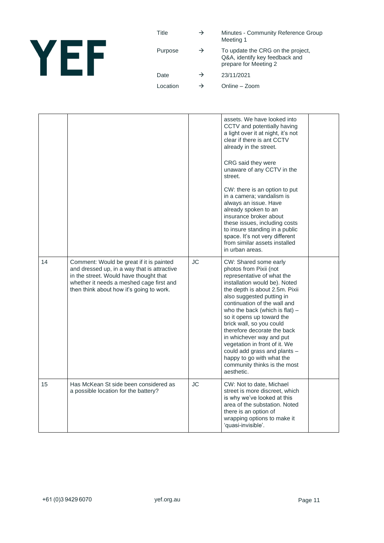

| Title    | $\rightarrow$ | Minutes - Community Reference Group<br>Meeting 1                                             |
|----------|---------------|----------------------------------------------------------------------------------------------|
| Purpose  | $\rightarrow$ | To update the CRG on the project,<br>Q&A, identify key feedback and<br>prepare for Meeting 2 |
| Date     | $\rightarrow$ | 23/11/2021                                                                                   |
| Location | →             | Online - Zoom                                                                                |

|    |                                                                                                                                                                                                                           |           | assets. We have looked into<br>CCTV and potentially having<br>a light over it at night, it's not<br>clear if there is ant CCTV<br>already in the street.<br>CRG said they were<br>unaware of any CCTV in the<br>street.<br>CW: there is an option to put<br>in a camera; vandalism is<br>always an issue. Have<br>already spoken to an<br>insurance broker about<br>these issues, including costs<br>to insure standing in a public<br>space. It's not very different<br>from similar assets installed<br>in urban areas. |  |
|----|---------------------------------------------------------------------------------------------------------------------------------------------------------------------------------------------------------------------------|-----------|---------------------------------------------------------------------------------------------------------------------------------------------------------------------------------------------------------------------------------------------------------------------------------------------------------------------------------------------------------------------------------------------------------------------------------------------------------------------------------------------------------------------------|--|
| 14 | Comment: Would be great if it is painted<br>and dressed up, in a way that is attractive<br>in the street. Would have thought that<br>whether it needs a meshed cage first and<br>then think about how it's going to work. | <b>JC</b> | CW: Shared some early<br>photos from Pixii (not<br>representative of what the<br>installation would be). Noted<br>the depth is about 2.5m. Pixii<br>also suggested putting in<br>continuation of the wall and<br>who the back (which is flat) $-$<br>so it opens up toward the<br>brick wall, so you could<br>therefore decorate the back<br>in whichever way and put<br>vegetation in front of it. We<br>could add grass and plants -<br>happy to go with what the<br>community thinks is the most<br>aesthetic.         |  |
| 15 | Has McKean St side been considered as<br>a possible location for the battery?                                                                                                                                             | <b>JC</b> | CW: Not to date, Michael<br>street is more discreet, which<br>is why we've looked at this<br>area of the substation. Noted<br>there is an option of<br>wrapping options to make it<br>'quasi-invisible'.                                                                                                                                                                                                                                                                                                                  |  |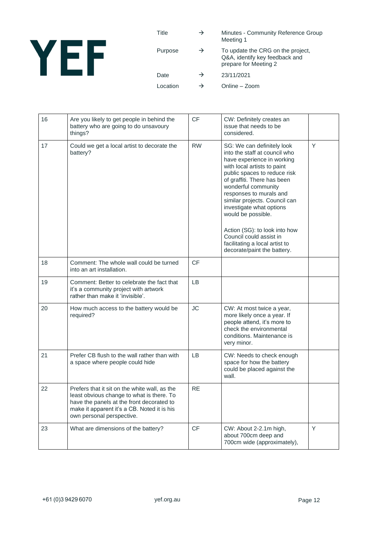

| Title    | →             | Minutes - Community Reference Group<br>Meeting 1                                             |
|----------|---------------|----------------------------------------------------------------------------------------------|
| Purpose  | $\rightarrow$ | To update the CRG on the project,<br>Q&A, identify key feedback and<br>prepare for Meeting 2 |
| Date     | $\rightarrow$ | 23/11/2021                                                                                   |
| Location | →             | Online - Zoom                                                                                |

| 16 | Are you likely to get people in behind the<br>battery who are going to do unsavoury<br>things?                                                                                                                      | CF        | CW: Definitely creates an<br>issue that needs to be<br>considered.                                                                                                                                                                                                                                                                                                                                                                                        |   |
|----|---------------------------------------------------------------------------------------------------------------------------------------------------------------------------------------------------------------------|-----------|-----------------------------------------------------------------------------------------------------------------------------------------------------------------------------------------------------------------------------------------------------------------------------------------------------------------------------------------------------------------------------------------------------------------------------------------------------------|---|
| 17 | Could we get a local artist to decorate the<br>battery?                                                                                                                                                             | <b>RW</b> | SG: We can definitely look<br>into the staff at council who<br>have experience in working<br>with local artists to paint<br>public spaces to reduce risk<br>of graffiti. There has been<br>wonderful community<br>responses to murals and<br>similar projects. Council can<br>investigate what options<br>would be possible.<br>Action (SG): to look into how<br>Council could assist in<br>facilitating a local artist to<br>decorate/paint the battery. | Y |
| 18 | Comment: The whole wall could be turned<br>into an art installation.                                                                                                                                                | <b>CF</b> |                                                                                                                                                                                                                                                                                                                                                                                                                                                           |   |
| 19 | Comment: Better to celebrate the fact that<br>it's a community project with artwork<br>rather than make it 'invisible'.                                                                                             | LB.       |                                                                                                                                                                                                                                                                                                                                                                                                                                                           |   |
| 20 | How much access to the battery would be<br>required?                                                                                                                                                                | JС        | CW: At most twice a year,<br>more likely once a year. If<br>people attend, it's more to<br>check the environmental<br>conditions. Maintenance is<br>very minor.                                                                                                                                                                                                                                                                                           |   |
| 21 | Prefer CB flush to the wall rather than with<br>a space where people could hide                                                                                                                                     | <b>LB</b> | CW: Needs to check enough<br>space for how the battery<br>could be placed against the<br>wall.                                                                                                                                                                                                                                                                                                                                                            |   |
| 22 | Prefers that it sit on the white wall, as the<br>least obvious change to what is there. To<br>have the panels at the front decorated to<br>make it apparent it's a CB. Noted it is his<br>own personal perspective. | <b>RE</b> |                                                                                                                                                                                                                                                                                                                                                                                                                                                           |   |
| 23 | What are dimensions of the battery?                                                                                                                                                                                 | <b>CF</b> | CW: About 2-2.1m high,<br>about 700cm deep and<br>700cm wide (approximately),                                                                                                                                                                                                                                                                                                                                                                             | Y |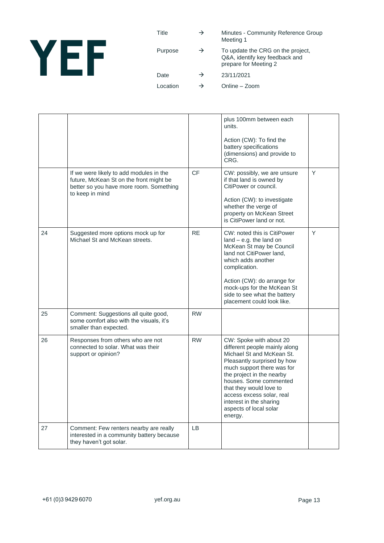

| Title   | →             | Minutes - Community Reference Group<br>Meeting 1                                             |
|---------|---------------|----------------------------------------------------------------------------------------------|
| Purpose | $\rightarrow$ | To update the CRG on the project,<br>Q&A, identify key feedback and<br>prepare for Meeting 2 |

Date  $\rightarrow$  23/11/2021

Location  $\rightarrow$  Online – Zoom

|    |                                                                                                                                                  |           | plus 100mm between each<br>units.<br>Action (CW): To find the<br>battery specifications<br>(dimensions) and provide to<br>CRG.                                                                                                                                                                                                    |   |
|----|--------------------------------------------------------------------------------------------------------------------------------------------------|-----------|-----------------------------------------------------------------------------------------------------------------------------------------------------------------------------------------------------------------------------------------------------------------------------------------------------------------------------------|---|
|    | If we were likely to add modules in the<br>future, McKean St on the front might be<br>better so you have more room. Something<br>to keep in mind | <b>CF</b> | CW: possibly, we are unsure<br>if that land is owned by<br>CitiPower or council.<br>Action (CW): to investigate<br>whether the verge of<br>property on McKean Street<br>is CitiPower land or not.                                                                                                                                 | Y |
| 24 | Suggested more options mock up for<br>Michael St and McKean streets.                                                                             | <b>RE</b> | CW: noted this is CitiPower<br>$land - e.g.$ the land on<br>McKean St may be Council<br>land not CitiPower land,<br>which adds another<br>complication.<br>Action (CW): do arrange for<br>mock-ups for the McKean St<br>side to see what the battery<br>placement could look like.                                                | Y |
| 25 | Comment: Suggestions all quite good,<br>some comfort also with the visuals, it's<br>smaller than expected.                                       | <b>RW</b> |                                                                                                                                                                                                                                                                                                                                   |   |
| 26 | Responses from others who are not<br>connected to solar. What was their<br>support or opinion?                                                   | <b>RW</b> | CW: Spoke with about 20<br>different people mainly along<br>Michael St and McKean St.<br>Pleasantly surprised by how<br>much support there was for<br>the project in the nearby<br>houses. Some commented<br>that they would love to<br>access excess solar, real<br>interest in the sharing<br>aspects of local solar<br>energy. |   |
| 27 | Comment: Few renters nearby are really<br>interested in a community battery because<br>they haven't got solar.                                   | LB.       |                                                                                                                                                                                                                                                                                                                                   |   |